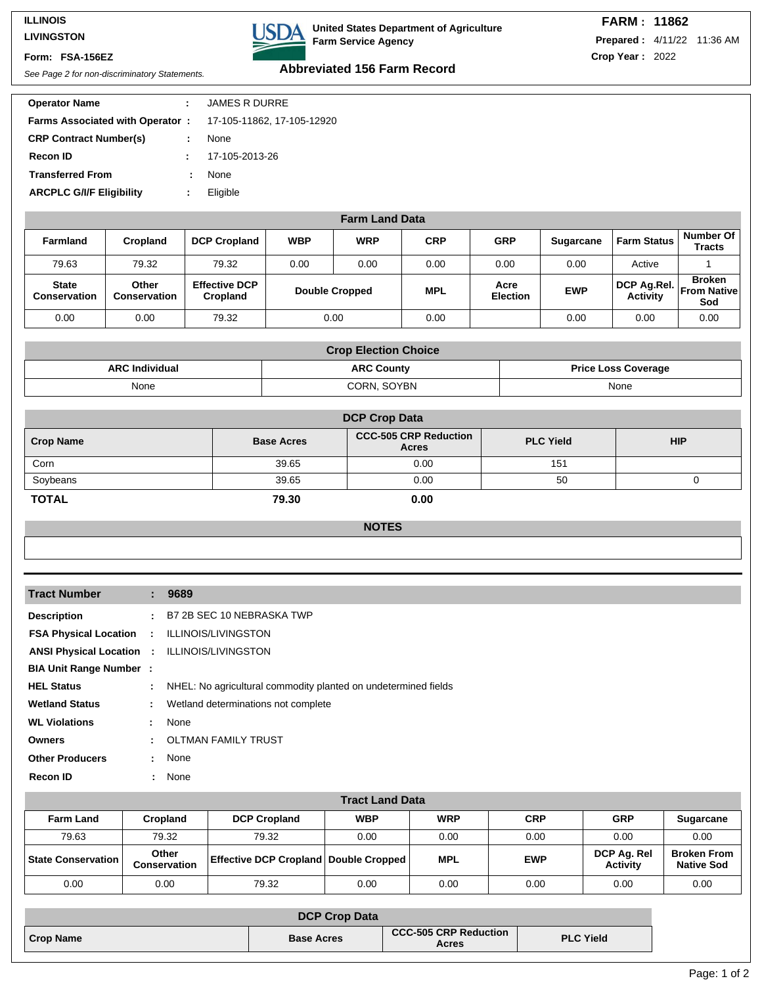#### **ILLINOIS LIVINGSTON**

#### **Form: FSA-156EZ**

**DA** United States Department of Agriculture **Farm Service Agency**

# See Page 2 for non-discriminatory Statements. **Abbreviated 156 Farm Record**

| <b>Operator Name</b>                   |   | <b>JAMES R DURRE</b>       |
|----------------------------------------|---|----------------------------|
| <b>Farms Associated with Operator:</b> |   | 17-105-11862, 17-105-12920 |
| <b>CRP Contract Number(s)</b>          | ÷ | None                       |
| <b>Recon ID</b>                        |   | 17-105-2013-26             |
| <b>Transferred From</b>                |   | None                       |
| <b>ARCPLC G/I/F Eligibility</b>        | ÷ | Eligible                   |
|                                        |   |                            |

| <b>Farm Land Data</b>               |                              |                                  |            |                       |            |                         |                  |                                |                                             |
|-------------------------------------|------------------------------|----------------------------------|------------|-----------------------|------------|-------------------------|------------------|--------------------------------|---------------------------------------------|
| <b>Farmland</b>                     | Cropland                     | <b>DCP Cropland</b>              | <b>WBP</b> | <b>WRP</b>            | <b>CRP</b> | <b>GRP</b>              | <b>Sugarcane</b> | <b>Farm Status</b>             | Number Of<br><b>Tracts</b>                  |
| 79.63                               | 79.32                        | 79.32                            | 0.00       | 0.00                  | 0.00       | 0.00                    | 0.00             | Active                         |                                             |
| <b>State</b><br><b>Conservation</b> | Other<br><b>Conservation</b> | <b>Effective DCP</b><br>Cropland |            | <b>Double Cropped</b> | <b>MPL</b> | Acre<br><b>Election</b> | <b>EWP</b>       | DCP Ag.Rel.<br><b>Activity</b> | <b>Broken</b><br><b>From Nativel</b><br>Sod |
| 0.00                                | 0.00                         | 79.32                            |            | 0.00                  | 0.00       |                         | 0.00             | 0.00                           | 0.00                                        |

| <b>Crop Election Choice</b> |                                                 |      |  |  |  |
|-----------------------------|-------------------------------------------------|------|--|--|--|
| <b>ARC Individual</b>       | <b>ARC County</b><br><b>Price Loss Coverage</b> |      |  |  |  |
| None                        | CORN. SOYBN                                     | None |  |  |  |

| <b>DCP Crop Data</b> |                   |                                              |                  |            |  |  |
|----------------------|-------------------|----------------------------------------------|------------------|------------|--|--|
| <b>Crop Name</b>     | <b>Base Acres</b> | <b>CCC-505 CRP Reduction</b><br><b>Acres</b> | <b>PLC Yield</b> | <b>HIP</b> |  |  |
| Corn                 | 39.65             | 0.00                                         | 151              |            |  |  |
| Soybeans             | 39.65             | 0.00                                         | 50               |            |  |  |
| <b>TOTAL</b>         | 79.30             | 0.00                                         |                  |            |  |  |

## **NOTES**

| <b>Tract Number</b>             |                             | : 9689                                                         |
|---------------------------------|-----------------------------|----------------------------------------------------------------|
| <b>Description</b>              | $\mathcal{L}^{\mathcal{L}}$ | B7 2B SEC 10 NEBRASKA TWP                                      |
| <b>FSA Physical Location</b>    | $\sim 10^{-1}$              | ILLINOIS/LIVINGSTON                                            |
| <b>ANSI Physical Location :</b> |                             | <b>ILLINOIS/LIVINGSTON</b>                                     |
| <b>BIA Unit Range Number:</b>   |                             |                                                                |
| <b>HEL Status</b>               | $\mathbb{Z}^{\mathbb{Z}}$   | NHEL: No agricultural commodity planted on undetermined fields |
| <b>Wetland Status</b>           | ÷.                          | Wetland determinations not complete                            |
| <b>WL Violations</b>            | t.                          | None                                                           |
| <b>Owners</b>                   | $\mathbf{L}$                | <b>OLTMAN FAMILY TRUST</b>                                     |
| <b>Other Producers</b>          | $\mathcal{L}$               | None                                                           |
| <b>Recon ID</b>                 | ÷.                          | None                                                           |

| <b>Tract Land Data</b>      |                              |                                              |            |            |            |                                |                                         |  |
|-----------------------------|------------------------------|----------------------------------------------|------------|------------|------------|--------------------------------|-----------------------------------------|--|
| <b>Farm Land</b>            | <b>Cropland</b>              | <b>DCP Cropland</b>                          | <b>WBP</b> | <b>WRP</b> | <b>CRP</b> | <b>GRP</b>                     | <b>Sugarcane</b>                        |  |
| 79.63                       | 79.32                        | 79.32                                        | 0.00       | 0.00       | 0.00       | 0.00                           | 0.00                                    |  |
| <b>State Conservation  </b> | Other<br><b>Conservation</b> | <b>Effective DCP Cropland Double Cropped</b> |            | <b>MPL</b> | <b>EWP</b> | DCP Ag. Rel<br><b>Activity</b> | <b>Broken From</b><br><b>Native Sod</b> |  |
| 0.00                        | 0.00                         | 79.32                                        | 0.00       | 0.00       | 0.00       | 0.00                           | 0.00                                    |  |

| <b>DCP Crop Data</b> |                   |                                       |                  |
|----------------------|-------------------|---------------------------------------|------------------|
| Crop Name            | <b>Base Acres</b> | <b>CCC-505 CRP Reduction</b><br>Acres | <b>PLC Yield</b> |